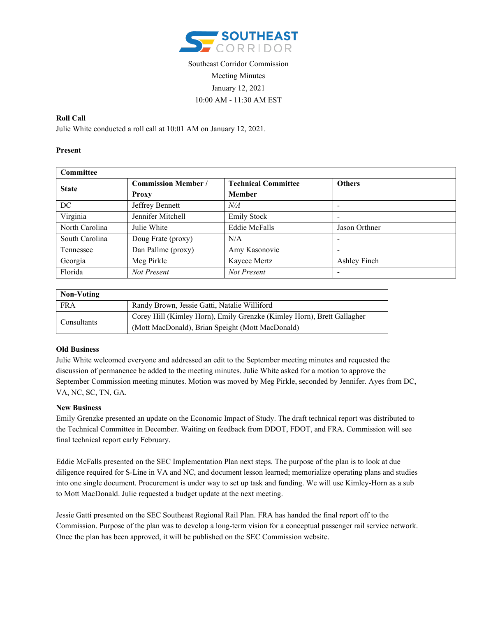

# Southeast Corridor Commission Meeting Minutes January 12, 2021 10:00 AM - 11:30 AM EST

### **Roll Call**

Julie White conducted a roll call at 10:01 AM on January 12, 2021.

### **Present**

| Committee      |                            |                            |                          |  |
|----------------|----------------------------|----------------------------|--------------------------|--|
| <b>State</b>   | <b>Commission Member /</b> | <b>Technical Committee</b> | <b>Others</b>            |  |
|                | Proxy                      | <b>Member</b>              |                          |  |
| DC.            | Jeffrey Bennett            | N/A                        |                          |  |
| Virginia       | Jennifer Mitchell          | <b>Emily Stock</b>         |                          |  |
| North Carolina | Julie White                | <b>Eddie McFalls</b>       | Jason Orthner            |  |
| South Carolina | Doug Frate (proxy)         | N/A                        | -                        |  |
| Tennessee      | Dan Pallme (proxy)         | Amy Kasonovic              | $\overline{\phantom{0}}$ |  |
| Georgia        | Meg Pirkle                 | Kaycee Mertz               | Ashley Finch             |  |
| Florida        | Not Present                | Not Present                |                          |  |

| Non-Voting  |                                                                        |  |  |
|-------------|------------------------------------------------------------------------|--|--|
| <b>FRA</b>  | Randy Brown, Jessie Gatti, Natalie Williford                           |  |  |
| Consultants | Corey Hill (Kimley Horn), Emily Grenzke (Kimley Horn), Brett Gallagher |  |  |
|             | (Mott MacDonald), Brian Speight (Mott MacDonald)                       |  |  |

## **Old Business**

Julie White welcomed everyone and addressed an edit to the September meeting minutes and requested the discussion of permanence be added to the meeting minutes. Julie White asked for a motion to approve the September Commission meeting minutes. Motion was moved by Meg Pirkle, seconded by Jennifer. Ayes from DC, VA, NC, SC, TN, GA.

#### **New Business**

Emily Grenzke presented an update on the Economic Impact of Study. The draft technical report was distributed to the Technical Committee in December. Waiting on feedback from DDOT, FDOT, and FRA. Commission will see final technical report early February.

Eddie McFalls presented on the SEC Implementation Plan next steps. The purpose of the plan is to look at due diligence required for S-Line in VA and NC, and document lesson learned; memorialize operating plans and studies into one single document. Procurement is under way to set up task and funding. We will use Kimley-Horn as a sub to Mott MacDonald. Julie requested a budget update at the next meeting.

Jessie Gatti presented on the SEC Southeast Regional Rail Plan. FRA has handed the final report off to the Commission. Purpose of the plan was to develop a long-term vision for a conceptual passenger rail service network. Once the plan has been approved, it will be published on the SEC Commission website.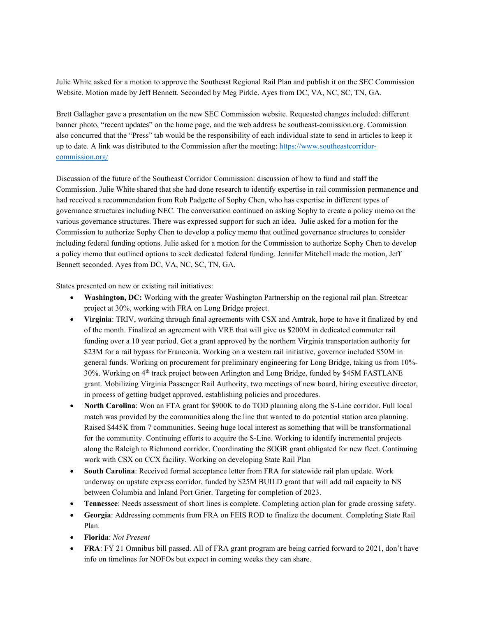Julie White asked for a motion to approve the Southeast Regional Rail Plan and publish it on the SEC Commission Website. Motion made by Jeff Bennett. Seconded by Meg Pirkle. Ayes from DC, VA, NC, SC, TN, GA.

Brett Gallagher gave a presentation on the new SEC Commission website. Requested changes included: different banner photo, "recent updates" on the home page, and the web address be southeast-comission.org. Commission also concurred that the "Press" tab would be the responsibility of each individual state to send in articles to keep it up to date. A link was distributed to the Commission after the meeting[: https://www.southeastcorridor](https://www.southeastcorridor-commission.org/)[commission.org/](https://www.southeastcorridor-commission.org/)

Discussion of the future of the Southeast Corridor Commission: discussion of how to fund and staff the Commission. Julie White shared that she had done research to identify expertise in rail commission permanence and had received a recommendation from Rob Padgette of Sophy Chen, who has expertise in different types of governance structures including NEC. The conversation continued on asking Sophy to create a policy memo on the various governance structures. There was expressed support for such an idea. Julie asked for a motion for the Commission to authorize Sophy Chen to develop a policy memo that outlined governance structures to consider including federal funding options. Julie asked for a motion for the Commission to authorize Sophy Chen to develop a policy memo that outlined options to seek dedicated federal funding. Jennifer Mitchell made the motion, Jeff Bennett seconded. Ayes from DC, VA, NC, SC, TN, GA.

States presented on new or existing rail initiatives:

- **Washington, DC:** Working with the greater Washington Partnership on the regional rail plan. Streetcar project at 30%, working with FRA on Long Bridge project.
- **Virginia**: TRIV, working through final agreements with CSX and Amtrak, hope to have it finalized by end of the month. Finalized an agreement with VRE that will give us \$200M in dedicated commuter rail funding over a 10 year period. Got a grant approved by the northern Virginia transportation authority for \$23M for a rail bypass for Franconia. Working on a western rail initiative, governor included \$50M in general funds. Working on procurement for preliminary engineering for Long Bridge, taking us from 10%- 30%. Working on 4th track project between Arlington and Long Bridge, funded by \$45M FASTLANE grant. Mobilizing Virginia Passenger Rail Authority, two meetings of new board, hiring executive director, in process of getting budget approved, establishing policies and procedures.
- **North Carolina**: Won an FTA grant for \$900K to do TOD planning along the S-Line corridor. Full local match was provided by the communities along the line that wanted to do potential station area planning. Raised \$445K from 7 communities. Seeing huge local interest as something that will be transformational for the community. Continuing efforts to acquire the S-Line. Working to identify incremental projects along the Raleigh to Richmond corridor. Coordinating the SOGR grant obligated for new fleet. Continuing work with CSX on CCX facility. Working on developing State Rail Plan
- **South Carolina**: Received formal acceptance letter from FRA for statewide rail plan update. Work underway on upstate express corridor, funded by \$25M BUILD grant that will add rail capacity to NS between Columbia and Inland Port Grier. Targeting for completion of 2023.
- **Tennessee**: Needs assessment of short lines is complete. Completing action plan for grade crossing safety.
- **Georgia**: Addressing comments from FRA on FEIS ROD to finalize the document. Completing State Rail Plan.
- **Florida**: *Not Present*
- **FRA**: FY 21 Omnibus bill passed. All of FRA grant program are being carried forward to 2021, don't have info on timelines for NOFOs but expect in coming weeks they can share.